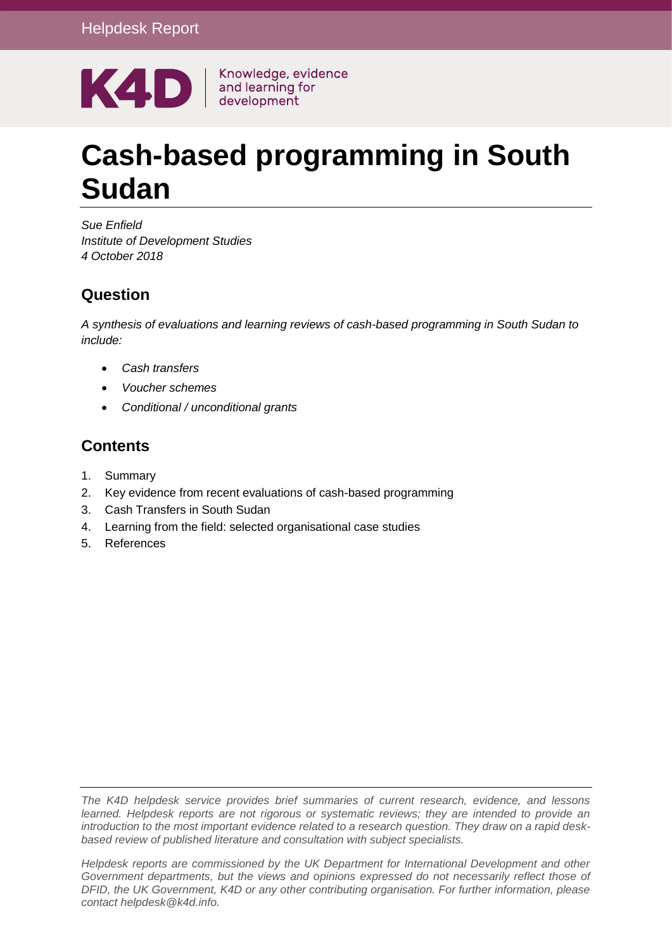

# **Cash-based programming in South Sudan**

*Sue Enfield Institute of Development Studies 4 October 2018*

#### **Question**

*A synthesis of evaluations and learning reviews of cash-based programming in South Sudan to include:*

- *Cash transfers*
- *Voucher schemes*
- *Conditional / unconditional grants*

#### **Contents**

- 1. [Summary](#page-1-0)
- 2. [Key evidence from recent evaluations of cash-based programming](#page-4-0)
- 3. [Cash Transfers in South Sudan](#page-6-0)
- 4. [Learning from the field: selected organisational case studies](#page-8-0)
- 5. [References](#page-13-0)

*The K4D helpdesk service provides brief summaries of current research, evidence, and lessons learned. Helpdesk reports are not rigorous or systematic reviews; they are intended to provide an introduction to the most important evidence related to a research question. They draw on a rapid deskbased review of published literature and consultation with subject specialists.* 

*Helpdesk reports are commissioned by the UK Department for International Development and other Government departments, but the views and opinions expressed do not necessarily reflect those of DFID, the UK Government, K4D or any other contributing organisation. For further information, please contact helpdesk@k4d.info.*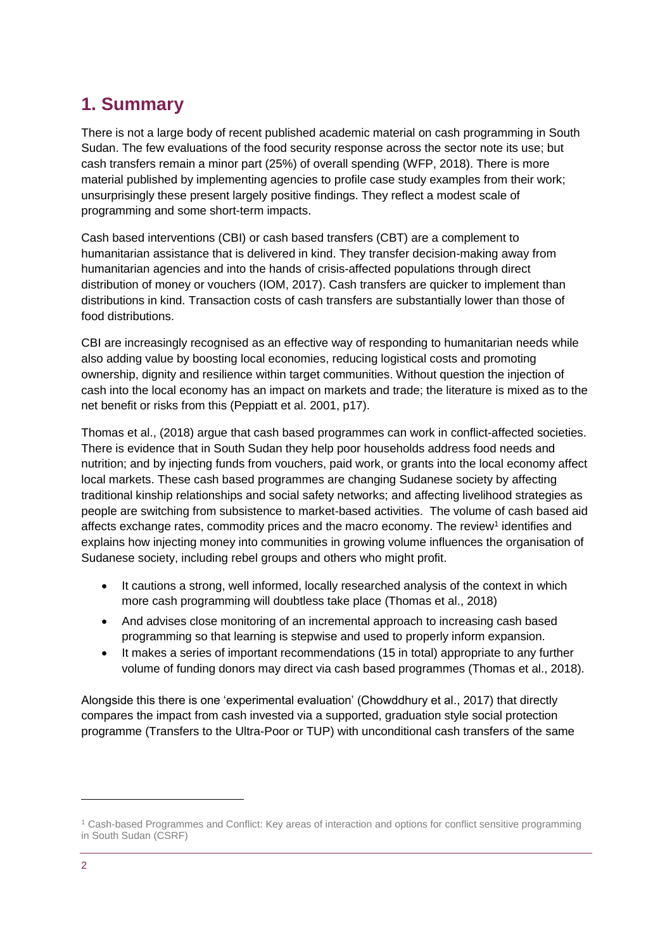# <span id="page-1-0"></span>**1. Summary**

There is not a large body of recent published academic material on cash programming in South Sudan. The few evaluations of the food security response across the sector note its use; but cash transfers remain a minor part (25%) of overall spending (WFP, 2018). There is more material published by implementing agencies to profile case study examples from their work; unsurprisingly these present largely positive findings. They reflect a modest scale of programming and some short-term impacts.

Cash based interventions (CBI) or cash based transfers (CBT) are a complement to humanitarian assistance that is delivered in kind. They transfer decision-making away from humanitarian agencies and into the hands of crisis-affected populations through direct distribution of money or vouchers (IOM, 2017). Cash transfers are quicker to implement than distributions in kind. Transaction costs of cash transfers are substantially lower than those of food distributions.

CBI are increasingly recognised as an effective way of responding to humanitarian needs while also adding value by boosting local economies, reducing logistical costs and promoting ownership, dignity and resilience within target communities. Without question the injection of cash into the local economy has an impact on markets and trade; the literature is mixed as to the net benefit or risks from this (Peppiatt et al. 2001, p17).

Thomas et al., (2018) argue that cash based programmes can work in conflict-affected societies. There is evidence that in South Sudan they help poor households address food needs and nutrition; and by injecting funds from vouchers, paid work, or grants into the local economy affect local markets. These cash based programmes are changing Sudanese society by affecting traditional kinship relationships and social safety networks; and affecting livelihood strategies as people are switching from subsistence to market-based activities. The volume of cash based aid affects exchange rates, commodity prices and the macro economy. The review<sup>1</sup> identifies and explains how injecting money into communities in growing volume influences the organisation of Sudanese society, including rebel groups and others who might profit.

- It cautions a strong, well informed, locally researched analysis of the context in which more cash programming will doubtless take place (Thomas et al., 2018)
- And advises close monitoring of an incremental approach to increasing cash based programming so that learning is stepwise and used to properly inform expansion.
- It makes a series of important recommendations (15 in total) appropriate to any further volume of funding donors may direct via cash based programmes (Thomas et al., 2018).

Alongside this there is one 'experimental evaluation' (Chowddhury et al., 2017) that directly compares the impact from cash invested via a supported, graduation style social protection programme (Transfers to the Ultra-Poor or TUP) with unconditional cash transfers of the same

-

<sup>1</sup> Cash-based Programmes and Conflict: Key areas of interaction and options for conflict sensitive programming in South Sudan (CSRF)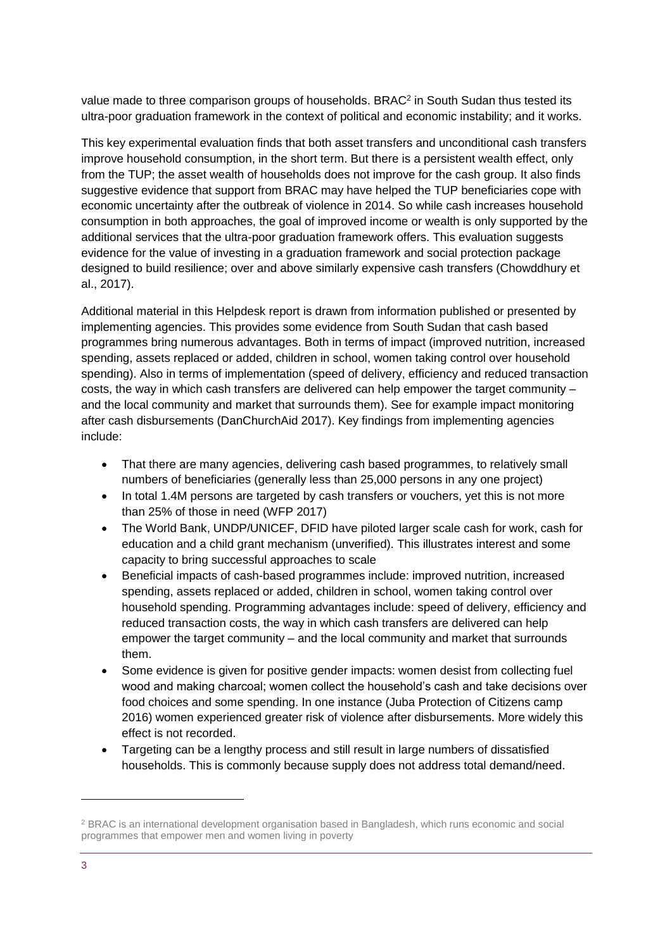value made to three comparison groups of households. BRAC<sup>2</sup> in South Sudan thus tested its ultra-poor graduation framework in the context of political and economic instability; and it works.

This key experimental evaluation finds that both asset transfers and unconditional cash transfers improve household consumption, in the short term. But there is a persistent wealth effect, only from the TUP; the asset wealth of households does not improve for the cash group. It also finds suggestive evidence that support from BRAC may have helped the TUP beneficiaries cope with economic uncertainty after the outbreak of violence in 2014. So while cash increases household consumption in both approaches, the goal of improved income or wealth is only supported by the additional services that the ultra-poor graduation framework offers. This evaluation suggests evidence for the value of investing in a graduation framework and social protection package designed to build resilience; over and above similarly expensive cash transfers (Chowddhury et al., 2017).

Additional material in this Helpdesk report is drawn from information published or presented by implementing agencies. This provides some evidence from South Sudan that cash based programmes bring numerous advantages. Both in terms of impact (improved nutrition, increased spending, assets replaced or added, children in school, women taking control over household spending). Also in terms of implementation (speed of delivery, efficiency and reduced transaction costs, the way in which cash transfers are delivered can help empower the target community – and the local community and market that surrounds them). See for example impact monitoring after cash disbursements (DanChurchAid 2017). Key findings from implementing agencies include:

- That there are many agencies, delivering cash based programmes, to relatively small numbers of beneficiaries (generally less than 25,000 persons in any one project)
- In total 1.4M persons are targeted by cash transfers or vouchers, yet this is not more than 25% of those in need (WFP 2017)
- The World Bank, UNDP/UNICEF, DFID have piloted larger scale cash for work, cash for education and a child grant mechanism (unverified). This illustrates interest and some capacity to bring successful approaches to scale
- Beneficial impacts of cash-based programmes include: improved nutrition, increased spending, assets replaced or added, children in school, women taking control over household spending. Programming advantages include: speed of delivery, efficiency and reduced transaction costs, the way in which cash transfers are delivered can help empower the target community – and the local community and market that surrounds them.
- Some evidence is given for positive gender impacts: women desist from collecting fuel wood and making charcoal; women collect the household's cash and take decisions over food choices and some spending. In one instance (Juba Protection of Citizens camp 2016) women experienced greater risk of violence after disbursements. More widely this effect is not recorded.
- Targeting can be a lengthy process and still result in large numbers of dissatisfied households. This is commonly because supply does not address total demand/need.

-

<sup>2</sup> BRAC is an international development organisation based in Bangladesh, which runs economic and social programmes that empower men and women living in poverty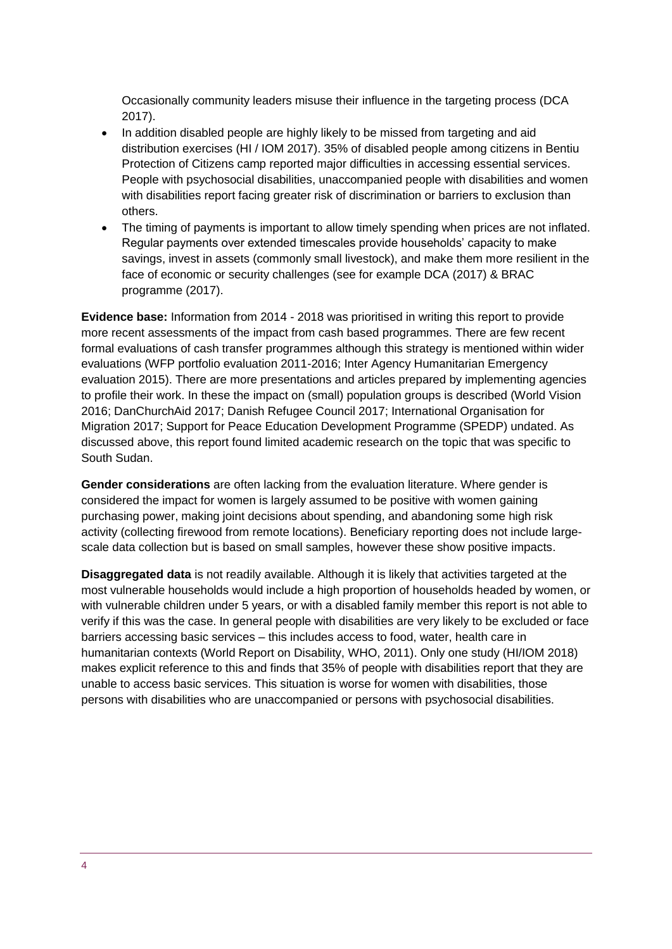Occasionally community leaders misuse their influence in the targeting process (DCA 2017).

- In addition disabled people are highly likely to be missed from targeting and aid distribution exercises (HI / IOM 2017). 35% of disabled people among citizens in Bentiu Protection of Citizens camp reported major difficulties in accessing essential services. People with psychosocial disabilities, unaccompanied people with disabilities and women with disabilities report facing greater risk of discrimination or barriers to exclusion than others.
- The timing of payments is important to allow timely spending when prices are not inflated. Regular payments over extended timescales provide households' capacity to make savings, invest in assets (commonly small livestock), and make them more resilient in the face of economic or security challenges (see for example DCA (2017) & BRAC programme (2017).

**Evidence base:** Information from 2014 - 2018 was prioritised in writing this report to provide more recent assessments of the impact from cash based programmes. There are few recent formal evaluations of cash transfer programmes although this strategy is mentioned within wider evaluations (WFP portfolio evaluation 2011-2016; Inter Agency Humanitarian Emergency evaluation 2015). There are more presentations and articles prepared by implementing agencies to profile their work. In these the impact on (small) population groups is described (World Vision 2016; DanChurchAid 2017; Danish Refugee Council 2017; International Organisation for Migration 2017; Support for Peace Education Development Programme (SPEDP) undated. As discussed above, this report found limited academic research on the topic that was specific to South Sudan.

**Gender considerations** are often lacking from the evaluation literature. Where gender is considered the impact for women is largely assumed to be positive with women gaining purchasing power, making joint decisions about spending, and abandoning some high risk activity (collecting firewood from remote locations). Beneficiary reporting does not include largescale data collection but is based on small samples, however these show positive impacts.

**Disaggregated data** is not readily available. Although it is likely that activities targeted at the most vulnerable households would include a high proportion of households headed by women, or with vulnerable children under 5 years, or with a disabled family member this report is not able to verify if this was the case. In general people with disabilities are very likely to be excluded or face barriers accessing basic services – this includes access to food, water, health care in humanitarian contexts (World Report on Disability, WHO, 2011). Only one study (HI/IOM 2018) makes explicit reference to this and finds that 35% of people with disabilities report that they are unable to access basic services. This situation is worse for women with disabilities, those persons with disabilities who are unaccompanied or persons with psychosocial disabilities.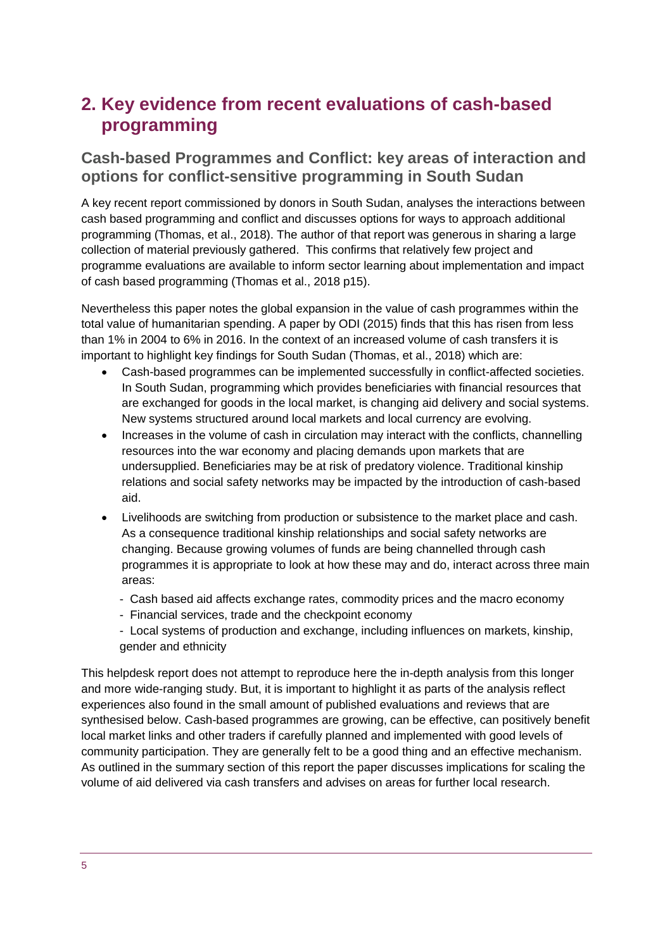## <span id="page-4-0"></span>**2. Key evidence from recent evaluations of cash-based programming**

#### **Cash-based Programmes and Conflict: key areas of interaction and options for conflict-sensitive programming in South Sudan**

A key recent report commissioned by donors in South Sudan, analyses the interactions between cash based programming and conflict and discusses options for ways to approach additional programming (Thomas, et al., 2018). The author of that report was generous in sharing a large collection of material previously gathered. This confirms that relatively few project and programme evaluations are available to inform sector learning about implementation and impact of cash based programming (Thomas et al., 2018 p15).

Nevertheless this paper notes the global expansion in the value of cash programmes within the total value of humanitarian spending. A paper by ODI (2015) finds that this has risen from less than 1% in 2004 to 6% in 2016. In the context of an increased volume of cash transfers it is important to highlight key findings for South Sudan (Thomas, et al., 2018) which are:

- Cash-based programmes can be implemented successfully in conflict-affected societies. In South Sudan, programming which provides beneficiaries with financial resources that are exchanged for goods in the local market, is changing aid delivery and social systems. New systems structured around local markets and local currency are evolving.
- Increases in the volume of cash in circulation may interact with the conflicts, channelling resources into the war economy and placing demands upon markets that are undersupplied. Beneficiaries may be at risk of predatory violence. Traditional kinship relations and social safety networks may be impacted by the introduction of cash-based aid.
- Livelihoods are switching from production or subsistence to the market place and cash. As a consequence traditional kinship relationships and social safety networks are changing. Because growing volumes of funds are being channelled through cash programmes it is appropriate to look at how these may and do, interact across three main areas:
	- Cash based aid affects exchange rates, commodity prices and the macro economy
	- Financial services, trade and the checkpoint economy
	- Local systems of production and exchange, including influences on markets, kinship, gender and ethnicity

This helpdesk report does not attempt to reproduce here the in-depth analysis from this longer and more wide-ranging study. But, it is important to highlight it as parts of the analysis reflect experiences also found in the small amount of published evaluations and reviews that are synthesised below. Cash-based programmes are growing, can be effective, can positively benefit local market links and other traders if carefully planned and implemented with good levels of community participation. They are generally felt to be a good thing and an effective mechanism. As outlined in the summary section of this report the paper discusses implications for scaling the volume of aid delivered via cash transfers and advises on areas for further local research.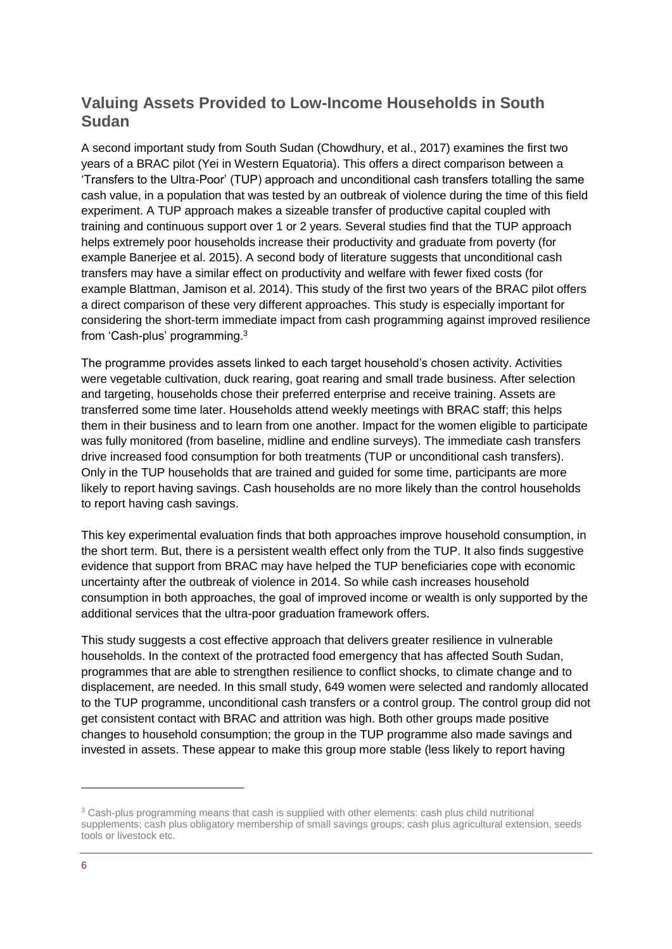#### **Valuing Assets Provided to Low-Income Households in South Sudan**

A second important study from South Sudan (Chowdhury, et al., 2017) examines the first two years of a BRAC pilot (Yei in Western Equatoria). This offers a direct comparison between a 'Transfers to the Ultra-Poor' (TUP) approach and unconditional cash transfers totalling the same cash value, in a population that was tested by an outbreak of violence during the time of this field experiment. A TUP approach makes a sizeable transfer of productive capital coupled with training and continuous support over 1 or 2 years. Several studies find that the TUP approach helps extremely poor households increase their productivity and graduate from poverty (for example Banerjee et al. 2015). A second body of literature suggests that unconditional cash transfers may have a similar effect on productivity and welfare with fewer fixed costs (for example Blattman, Jamison et al. 2014). This study of the first two years of the BRAC pilot offers a direct comparison of these very different approaches. This study is especially important for considering the short-term immediate impact from cash programming against improved resilience from 'Cash-plus' programming.<sup>3</sup>

The programme provides assets linked to each target household's chosen activity. Activities were vegetable cultivation, duck rearing, goat rearing and small trade business. After selection and targeting, households chose their preferred enterprise and receive training. Assets are transferred some time later. Households attend weekly meetings with BRAC staff; this helps them in their business and to learn from one another. Impact for the women eligible to participate was fully monitored (from baseline, midline and endline surveys). The immediate cash transfers drive increased food consumption for both treatments (TUP or unconditional cash transfers). Only in the TUP households that are trained and guided for some time, participants are more likely to report having savings. Cash households are no more likely than the control households to report having cash savings.

This key experimental evaluation finds that both approaches improve household consumption, in the short term. But, there is a persistent wealth effect only from the TUP. It also finds suggestive evidence that support from BRAC may have helped the TUP beneficiaries cope with economic uncertainty after the outbreak of violence in 2014. So while cash increases household consumption in both approaches, the goal of improved income or wealth is only supported by the additional services that the ultra-poor graduation framework offers.

This study suggests a cost effective approach that delivers greater resilience in vulnerable households. In the context of the protracted food emergency that has affected South Sudan, programmes that are able to strengthen resilience to conflict shocks, to climate change and to displacement, are needed. In this small study, 649 women were selected and randomly allocated to the TUP programme, unconditional cash transfers or a control group. The control group did not get consistent contact with BRAC and attrition was high. Both other groups made positive changes to household consumption; the group in the TUP programme also made savings and invested in assets. These appear to make this group more stable (less likely to report having

1

<sup>&</sup>lt;sup>3</sup> Cash-plus programming means that cash is supplied with other elements: cash plus child nutritional supplements; cash plus obligatory membership of small savings groups; cash plus agricultural extension, seeds tools or livestock etc.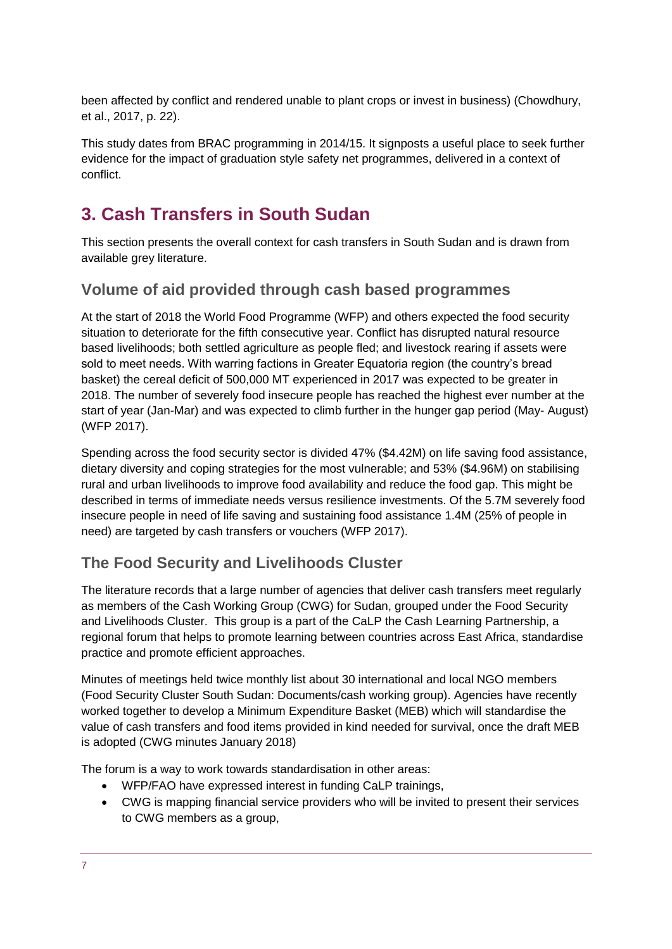been affected by conflict and rendered unable to plant crops or invest in business) (Chowdhury, et al., 2017, p. 22).

This study dates from BRAC programming in 2014/15. It signposts a useful place to seek further evidence for the impact of graduation style safety net programmes, delivered in a context of conflict.

# <span id="page-6-0"></span>**3. Cash Transfers in South Sudan**

This section presents the overall context for cash transfers in South Sudan and is drawn from available grey literature.

#### **Volume of aid provided through cash based programmes**

At the start of 2018 the World Food Programme (WFP) and others expected the food security situation to deteriorate for the fifth consecutive year. Conflict has disrupted natural resource based livelihoods; both settled agriculture as people fled; and livestock rearing if assets were sold to meet needs. With warring factions in Greater Equatoria region (the country's bread basket) the cereal deficit of 500,000 MT experienced in 2017 was expected to be greater in 2018. The number of severely food insecure people has reached the highest ever number at the start of year (Jan-Mar) and was expected to climb further in the hunger gap period (May- August) (WFP 2017).

Spending across the food security sector is divided 47% (\$4.42M) on life saving food assistance, dietary diversity and coping strategies for the most vulnerable; and 53% (\$4.96M) on stabilising rural and urban livelihoods to improve food availability and reduce the food gap. This might be described in terms of immediate needs versus resilience investments. Of the 5.7M severely food insecure people in need of life saving and sustaining food assistance 1.4M (25% of people in need) are targeted by cash transfers or vouchers (WFP 2017).

## **The Food Security and Livelihoods Cluster**

The literature records that a large number of agencies that deliver cash transfers meet regularly as members of the Cash Working Group (CWG) for Sudan, grouped under the Food Security and Livelihoods Cluster. This group is a part of the CaLP the Cash Learning Partnership, a regional forum that helps to promote learning between countries across East Africa, standardise practice and promote efficient approaches.

Minutes of meetings held twice monthly list about 30 international and local NGO members (Food Security Cluster South Sudan: Documents/cash working group). Agencies have recently worked together to develop a Minimum Expenditure Basket (MEB) which will standardise the value of cash transfers and food items provided in kind needed for survival, once the draft MEB is adopted (CWG minutes January 2018)

The forum is a way to work towards standardisation in other areas:

- WFP/FAO have expressed interest in funding CaLP trainings,
- CWG is mapping financial service providers who will be invited to present their services to CWG members as a group,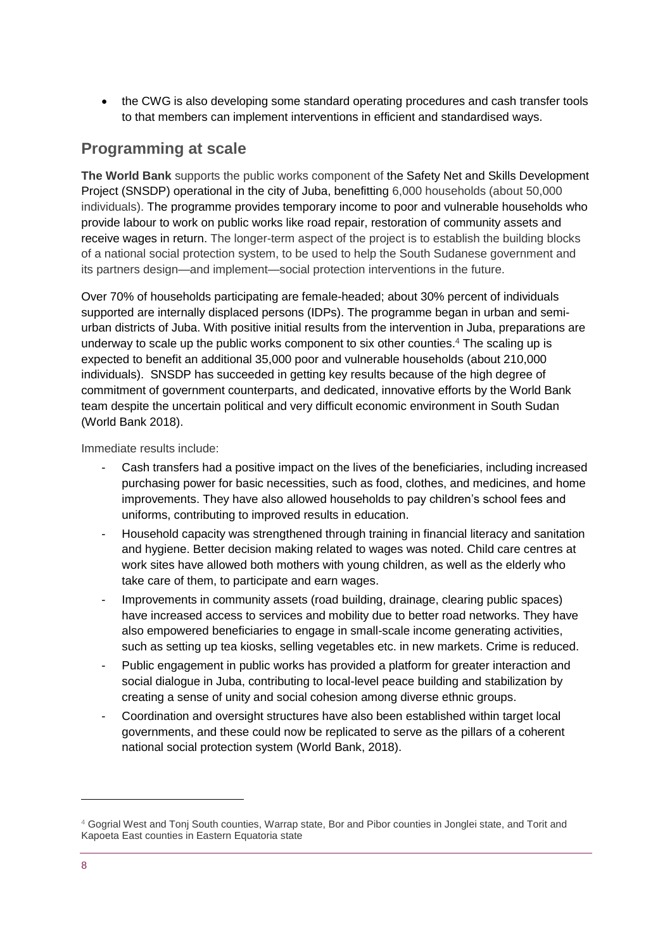• the CWG is also developing some standard operating procedures and cash transfer tools to that members can implement interventions in efficient and standardised ways.

#### **Programming at scale**

**The World Bank** supports the public works component of the [Safety Net and Skills Development](http://projects.worldbank.org/P143915/ss-social-safety-net-skills-devt?lang=en)  [Project \(SNSDP\)](http://projects.worldbank.org/P143915/ss-social-safety-net-skills-devt?lang=en) operational in the city of Juba, benefitting 6,000 households (about 50,000 individuals). The programme provides temporary income to poor and vulnerable households who provide labour to work on public works like road repair, restoration of community assets and receive wages in return. The longer-term aspect of the project is to establish the building blocks of a national social protection system, to be used to help the South Sudanese government and its partners design—and implement—social protection interventions in the future.

Over 70% of households participating are female-headed; about 30% percent of individuals supported are internally displaced persons (IDPs). The programme began in urban and semiurban districts of Juba. With positive initial results from the intervention in Juba, preparations are underway to scale up the public works component to six other counties. <sup>4</sup> The scaling up is expected to benefit an additional 35,000 poor and vulnerable households (about 210,000 individuals). SNSDP has succeeded in getting key results because of the high degree of commitment of government counterparts, and dedicated, innovative efforts by the World Bank team despite the uncertain political and very difficult economic environment in South Sudan (World Bank 2018).

Immediate results include:

- Cash transfers had a positive impact on the lives of the beneficiaries, including increased purchasing power for basic necessities, such as food, clothes, and medicines, and home improvements. They have also allowed households to pay children's school fees and uniforms, contributing to improved results in education.
- Household capacity was strengthened through training in financial literacy and sanitation and hygiene. Better decision making related to wages was noted. Child care centres at work sites have allowed both mothers with young children, as well as the elderly who take care of them, to participate and earn wages.
- Improvements in community assets (road building, drainage, clearing public spaces) have increased access to services and mobility due to better road networks. They have also empowered beneficiaries to engage in small-scale income generating activities, such as setting up tea kiosks, selling vegetables etc. in new markets. Crime is reduced.
- Public engagement in public works has provided a platform for greater interaction and social dialogue in Juba, contributing to local-level peace building and stabilization by creating a sense of unity and social cohesion among diverse ethnic groups.
- Coordination and oversight structures have also been established within target local governments, and these could now be replicated to serve as the pillars of a coherent national social protection system (World Bank, 2018).

-

<sup>4</sup> Gogrial West and Tonj South counties, Warrap state, Bor and Pibor counties in Jonglei state, and Torit and Kapoeta East counties in Eastern Equatoria state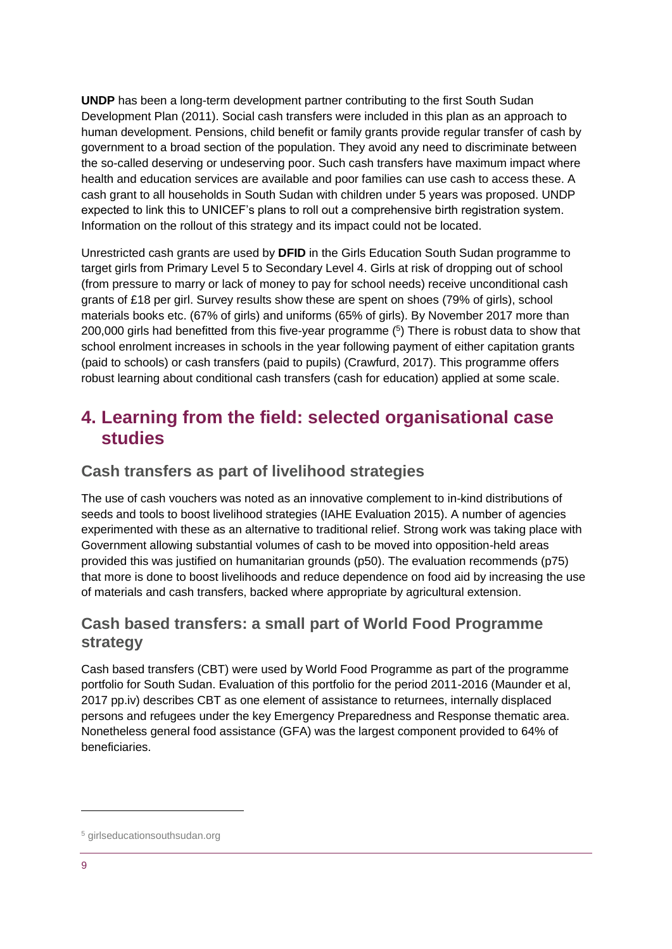**UNDP** has been a long-term development partner contributing to the first South Sudan Development Plan (2011). Social cash transfers were included in this plan as an approach to human development. Pensions, child benefit or family grants provide regular transfer of cash by government to a broad section of the population. They avoid any need to discriminate between the so-called deserving or undeserving poor. Such cash transfers have maximum impact where health and education services are available and poor families can use cash to access these. A cash grant to all households in South Sudan with children under 5 years was proposed. UNDP expected to link this to UNICEF's plans to roll out a comprehensive birth registration system. Information on the rollout of this strategy and its impact could not be located.

Unrestricted cash grants are used by **DFID** in the Girls Education South Sudan programme to target girls from Primary Level 5 to Secondary Level 4. Girls at risk of dropping out of school (from pressure to marry or lack of money to pay for school needs) receive unconditional cash grants of £18 per girl. Survey results show these are spent on shoes (79% of girls), school materials books etc. (67% of girls) and uniforms (65% of girls). By November 2017 more than 200,000 girls had benefitted from this five-year programme (<sup>5</sup>) There is robust data to show that school enrolment increases in schools in the year following payment of either capitation grants (paid to schools) or cash transfers (paid to pupils) (Crawfurd, 2017). This programme offers robust learning about conditional cash transfers (cash for education) applied at some scale.

## <span id="page-8-0"></span>**4. Learning from the field: selected organisational case studies**

#### **Cash transfers as part of livelihood strategies**

The use of cash vouchers was noted as an innovative complement to in-kind distributions of seeds and tools to boost livelihood strategies (IAHE Evaluation 2015). A number of agencies experimented with these as an alternative to traditional relief. Strong work was taking place with Government allowing substantial volumes of cash to be moved into opposition-held areas provided this was justified on humanitarian grounds (p50). The evaluation recommends (p75) that more is done to boost livelihoods and reduce dependence on food aid by increasing the use of materials and cash transfers, backed where appropriate by agricultural extension.

#### **Cash based transfers: a small part of World Food Programme strategy**

Cash based transfers (CBT) were used by World Food Programme as part of the programme portfolio for South Sudan. Evaluation of this portfolio for the period 2011-2016 (Maunder et al, 2017 pp.iv) describes CBT as one element of assistance to returnees, internally displaced persons and refugees under the key Emergency Preparedness and Response thematic area. Nonetheless general food assistance (GFA) was the largest component provided to 64% of beneficiaries.

1

<sup>5</sup> girlseducationsouthsudan.org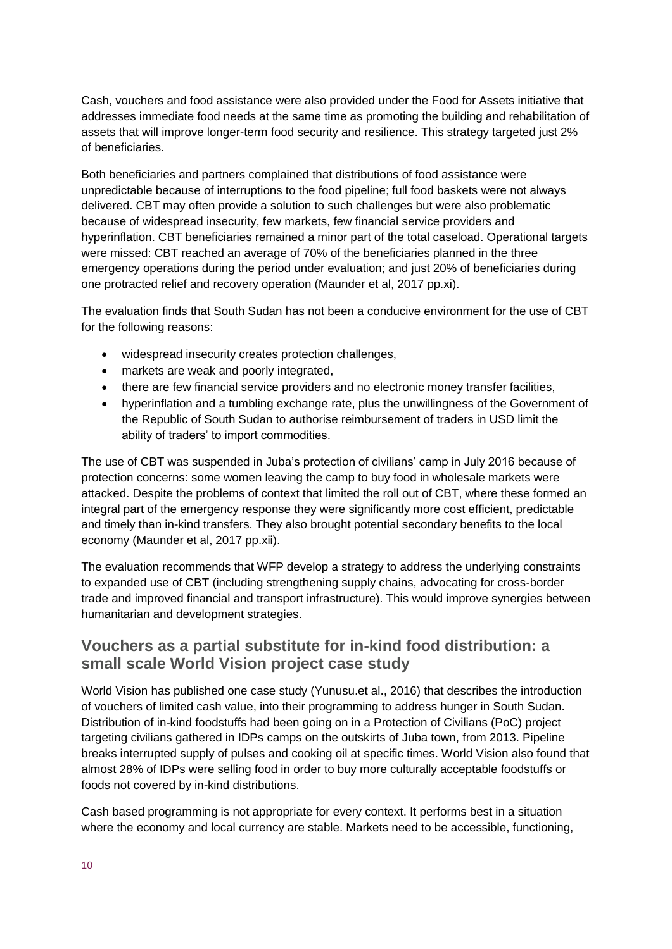Cash, vouchers and food assistance were also provided under the Food for Assets initiative that addresses immediate food needs at the same time as promoting the building and rehabilitation of assets that will improve longer-term food security and resilience. This strategy targeted just 2% of beneficiaries.

Both beneficiaries and partners complained that distributions of food assistance were unpredictable because of interruptions to the food pipeline; full food baskets were not always delivered. CBT may often provide a solution to such challenges but were also problematic because of widespread insecurity, few markets, few financial service providers and hyperinflation. CBT beneficiaries remained a minor part of the total caseload. Operational targets were missed: CBT reached an average of 70% of the beneficiaries planned in the three emergency operations during the period under evaluation; and just 20% of beneficiaries during one protracted relief and recovery operation (Maunder et al, 2017 pp.xi).

The evaluation finds that South Sudan has not been a conducive environment for the use of CBT for the following reasons:

- widespread insecurity creates protection challenges,
- markets are weak and poorly integrated,
- there are few financial service providers and no electronic money transfer facilities,
- hyperinflation and a tumbling exchange rate, plus the unwillingness of the Government of the Republic of South Sudan to authorise reimbursement of traders in USD limit the ability of traders' to import commodities.

The use of CBT was suspended in Juba's protection of civilians' camp in July 2016 because of protection concerns: some women leaving the camp to buy food in wholesale markets were attacked. Despite the problems of context that limited the roll out of CBT, where these formed an integral part of the emergency response they were significantly more cost efficient, predictable and timely than in-kind transfers. They also brought potential secondary benefits to the local economy (Maunder et al, 2017 pp.xii).

The evaluation recommends that WFP develop a strategy to address the underlying constraints to expanded use of CBT (including strengthening supply chains, advocating for cross-border trade and improved financial and transport infrastructure). This would improve synergies between humanitarian and development strategies.

#### **Vouchers as a partial substitute for in-kind food distribution: a small scale World Vision project case study**

World Vision has published one case study (Yunusu.et al., 2016) that describes the introduction of vouchers of limited cash value, into their programming to address hunger in South Sudan. Distribution of in-kind foodstuffs had been going on in a Protection of Civilians (PoC) project targeting civilians gathered in IDPs camps on the outskirts of Juba town, from 2013. Pipeline breaks interrupted supply of pulses and cooking oil at specific times. World Vision also found that almost 28% of IDPs were selling food in order to buy more culturally acceptable foodstuffs or foods not covered by in-kind distributions.

Cash based programming is not appropriate for every context. It performs best in a situation where the economy and local currency are stable. Markets need to be accessible, functioning,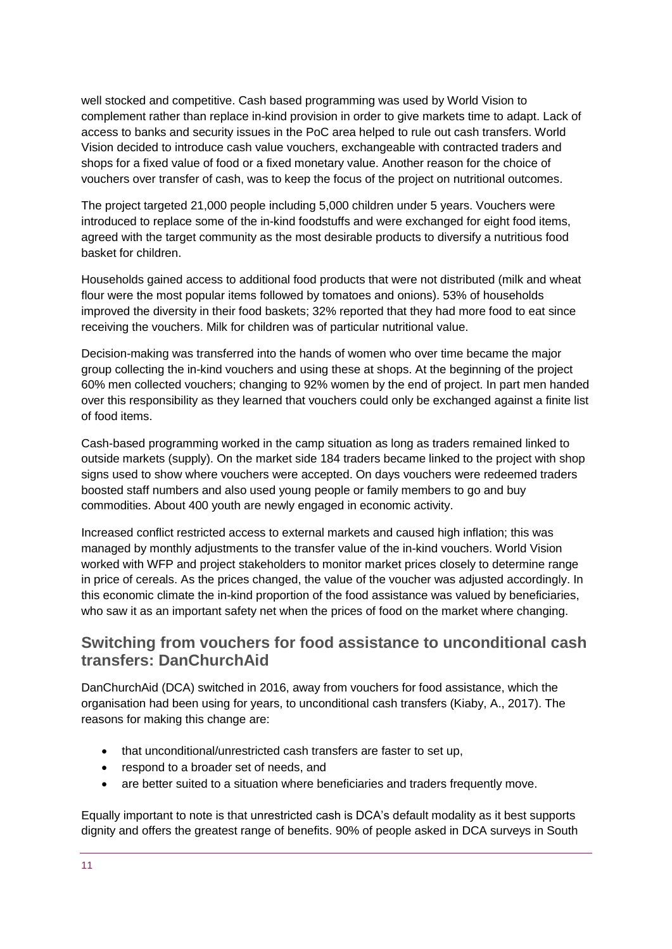well stocked and competitive. Cash based programming was used by World Vision to complement rather than replace in-kind provision in order to give markets time to adapt. Lack of access to banks and security issues in the PoC area helped to rule out cash transfers. World Vision decided to introduce cash value vouchers, exchangeable with contracted traders and shops for a fixed value of food or a fixed monetary value. Another reason for the choice of vouchers over transfer of cash, was to keep the focus of the project on nutritional outcomes.

The project targeted 21,000 people including 5,000 children under 5 years. Vouchers were introduced to replace some of the in-kind foodstuffs and were exchanged for eight food items, agreed with the target community as the most desirable products to diversify a nutritious food basket for children.

Households gained access to additional food products that were not distributed (milk and wheat flour were the most popular items followed by tomatoes and onions). 53% of households improved the diversity in their food baskets; 32% reported that they had more food to eat since receiving the vouchers. Milk for children was of particular nutritional value.

Decision-making was transferred into the hands of women who over time became the major group collecting the in-kind vouchers and using these at shops. At the beginning of the project 60% men collected vouchers; changing to 92% women by the end of project. In part men handed over this responsibility as they learned that vouchers could only be exchanged against a finite list of food items.

Cash-based programming worked in the camp situation as long as traders remained linked to outside markets (supply). On the market side 184 traders became linked to the project with shop signs used to show where vouchers were accepted. On days vouchers were redeemed traders boosted staff numbers and also used young people or family members to go and buy commodities. About 400 youth are newly engaged in economic activity.

Increased conflict restricted access to external markets and caused high inflation; this was managed by monthly adjustments to the transfer value of the in-kind vouchers. World Vision worked with WFP and project stakeholders to monitor market prices closely to determine range in price of cereals. As the prices changed, the value of the voucher was adjusted accordingly. In this economic climate the in-kind proportion of the food assistance was valued by beneficiaries, who saw it as an important safety net when the prices of food on the market where changing.

#### **Switching from vouchers for food assistance to unconditional cash transfers: DanChurchAid**

DanChurchAid (DCA) switched in 2016, away from vouchers for food assistance, which the organisation had been using for years, to unconditional cash transfers (Kiaby, A., 2017). The reasons for making this change are:

- that unconditional/unrestricted cash transfers are faster to set up,
- respond to a broader set of needs, and
- are better suited to a situation where beneficiaries and traders frequently move.

Equally important to note is that unrestricted cash is DCA's default modality as it best supports dignity and offers the greatest range of benefits. 90% of people asked in DCA surveys in South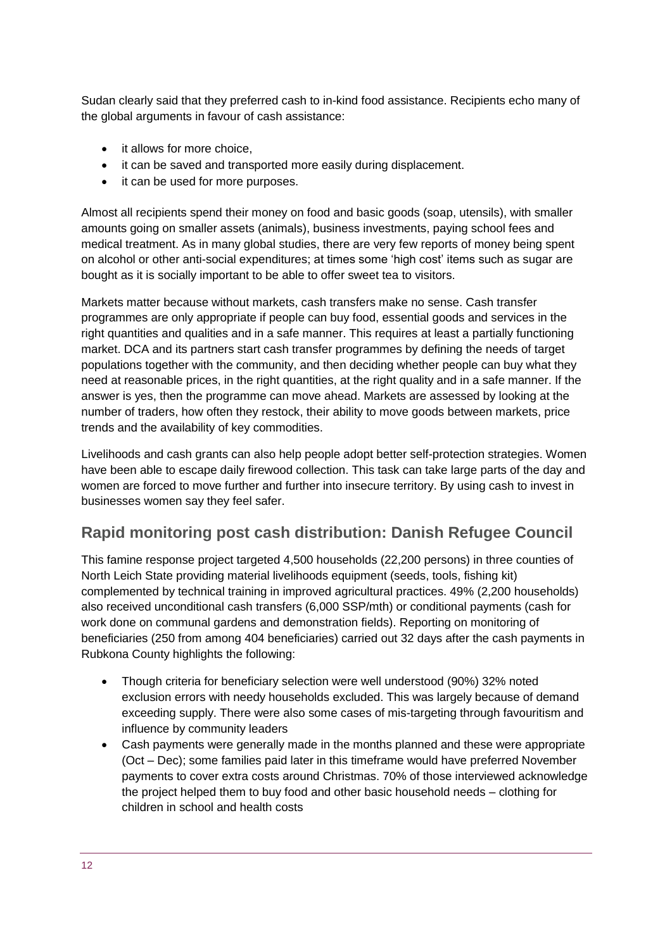Sudan clearly said that they preferred cash to in-kind food assistance. Recipients echo many of the global arguments in favour of cash assistance:

- it allows for more choice,
- it can be saved and transported more easily during displacement.
- it can be used for more purposes.

Almost all recipients spend their money on food and basic goods (soap, utensils), with smaller amounts going on smaller assets (animals), business investments, paying school fees and medical treatment. As in many global studies, there are very few reports of money being spent on alcohol or other anti-social expenditures; at times some 'high cost' items such as sugar are bought as it is socially important to be able to offer sweet tea to visitors.

Markets matter because without markets, cash transfers make no sense. Cash transfer programmes are only appropriate if people can buy food, essential goods and services in the right quantities and qualities and in a safe manner. This requires at least a partially functioning market. DCA and its partners start cash transfer programmes by defining the needs of target populations together with the community, and then deciding whether people can buy what they need at reasonable prices, in the right quantities, at the right quality and in a safe manner. If the answer is yes, then the programme can move ahead. Markets are assessed by looking at the number of traders, how often they restock, their ability to move goods between markets, price trends and the availability of key commodities.

Livelihoods and cash grants can also help people adopt better self-protection strategies. Women have been able to escape daily firewood collection. This task can take large parts of the day and women are forced to move further and further into insecure territory. By using cash to invest in businesses women say they feel safer.

#### **Rapid monitoring post cash distribution: Danish Refugee Council**

This famine response project targeted 4,500 households (22,200 persons) in three counties of North Leich State providing material livelihoods equipment (seeds, tools, fishing kit) complemented by technical training in improved agricultural practices. 49% (2,200 households) also received unconditional cash transfers (6,000 SSP/mth) or conditional payments (cash for work done on communal gardens and demonstration fields). Reporting on monitoring of beneficiaries (250 from among 404 beneficiaries) carried out 32 days after the cash payments in Rubkona County highlights the following:

- Though criteria for beneficiary selection were well understood (90%) 32% noted exclusion errors with needy households excluded. This was largely because of demand exceeding supply. There were also some cases of mis-targeting through favouritism and influence by community leaders
- Cash payments were generally made in the months planned and these were appropriate (Oct – Dec); some families paid later in this timeframe would have preferred November payments to cover extra costs around Christmas. 70% of those interviewed acknowledge the project helped them to buy food and other basic household needs – clothing for children in school and health costs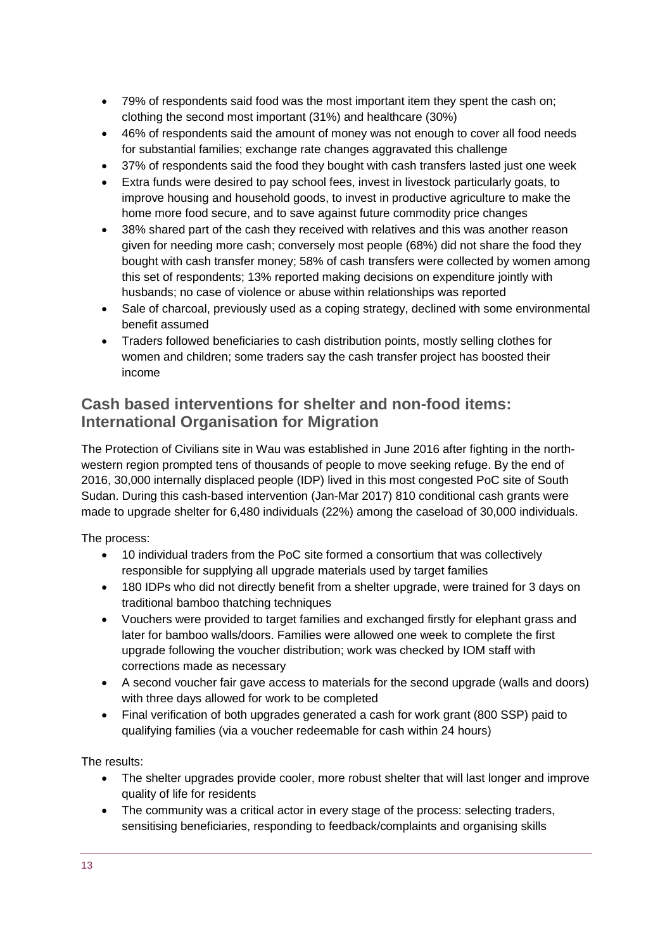- 79% of respondents said food was the most important item they spent the cash on; clothing the second most important (31%) and healthcare (30%)
- 46% of respondents said the amount of money was not enough to cover all food needs for substantial families; exchange rate changes aggravated this challenge
- 37% of respondents said the food they bought with cash transfers lasted just one week
- Extra funds were desired to pay school fees, invest in livestock particularly goats, to improve housing and household goods, to invest in productive agriculture to make the home more food secure, and to save against future commodity price changes
- 38% shared part of the cash they received with relatives and this was another reason given for needing more cash; conversely most people (68%) did not share the food they bought with cash transfer money; 58% of cash transfers were collected by women among this set of respondents; 13% reported making decisions on expenditure jointly with husbands; no case of violence or abuse within relationships was reported
- Sale of charcoal, previously used as a coping strategy, declined with some environmental benefit assumed
- Traders followed beneficiaries to cash distribution points, mostly selling clothes for women and children; some traders say the cash transfer project has boosted their income

#### **Cash based interventions for shelter and non-food items: International Organisation for Migration**

The Protection of Civilians site in Wau was established in June 2016 after fighting in the northwestern region prompted tens of thousands of people to move seeking refuge. By the end of 2016, 30,000 internally displaced people (IDP) lived in this most congested PoC site of South Sudan. During this cash-based intervention (Jan-Mar 2017) 810 conditional cash grants were made to upgrade shelter for 6,480 individuals (22%) among the caseload of 30,000 individuals.

The process:

- 10 individual traders from the PoC site formed a consortium that was collectively responsible for supplying all upgrade materials used by target families
- 180 IDPs who did not directly benefit from a shelter upgrade, were trained for 3 days on traditional bamboo thatching techniques
- Vouchers were provided to target families and exchanged firstly for elephant grass and later for bamboo walls/doors. Families were allowed one week to complete the first upgrade following the voucher distribution; work was checked by IOM staff with corrections made as necessary
- A second voucher fair gave access to materials for the second upgrade (walls and doors) with three days allowed for work to be completed
- Final verification of both upgrades generated a cash for work grant (800 SSP) paid to qualifying families (via a voucher redeemable for cash within 24 hours)

The results:

- The shelter upgrades provide cooler, more robust shelter that will last longer and improve quality of life for residents
- The community was a critical actor in every stage of the process: selecting traders, sensitising beneficiaries, responding to feedback/complaints and organising skills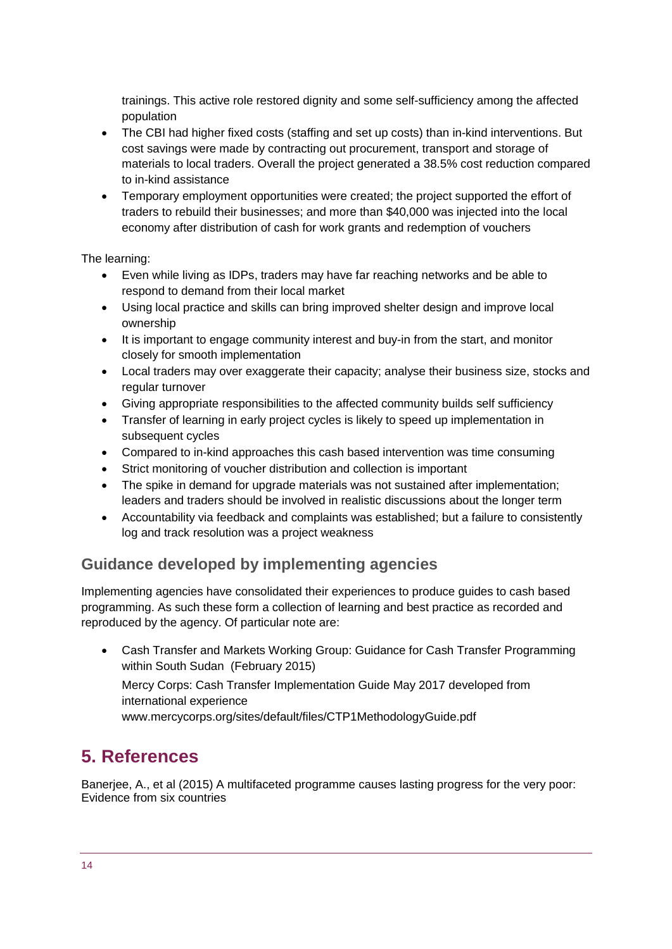trainings. This active role restored dignity and some self-sufficiency among the affected population

- The CBI had higher fixed costs (staffing and set up costs) than in-kind interventions. But cost savings were made by contracting out procurement, transport and storage of materials to local traders. Overall the project generated a 38.5% cost reduction compared to in-kind assistance
- Temporary employment opportunities were created; the project supported the effort of traders to rebuild their businesses; and more than \$40,000 was injected into the local economy after distribution of cash for work grants and redemption of vouchers

#### The learning:

- Even while living as IDPs, traders may have far reaching networks and be able to respond to demand from their local market
- Using local practice and skills can bring improved shelter design and improve local ownership
- It is important to engage community interest and buy-in from the start, and monitor closely for smooth implementation
- Local traders may over exaggerate their capacity; analyse their business size, stocks and regular turnover
- Giving appropriate responsibilities to the affected community builds self sufficiency
- Transfer of learning in early project cycles is likely to speed up implementation in subsequent cycles
- Compared to in-kind approaches this cash based intervention was time consuming
- Strict monitoring of voucher distribution and collection is important
- The spike in demand for upgrade materials was not sustained after implementation; leaders and traders should be involved in realistic discussions about the longer term
- Accountability via feedback and complaints was established; but a failure to consistently log and track resolution was a project weakness

#### **Guidance developed by implementing agencies**

Implementing agencies have consolidated their experiences to produce guides to cash based programming. As such these form a collection of learning and best practice as recorded and reproduced by the agency. Of particular note are:

 Cash Transfer and Markets Working Group: Guidance for Cash Transfer Programming within South Sudan (February 2015)

Mercy Corps: Cash Transfer Implementation Guide May 2017 developed from international experience

[www.mercycorps.org/sites/default/files/CTP1MethodologyGuide.pdf](https://www.google.com/url?sa=t&rct=j&q=&esrc=s&source=web&cd=3&ved=2ahUKEwi-177K1erdAhUJJ8AKHXi_AWgQFjACegQIBxAC&url=https%3A%2F%2Fwww.mercycorps.org%2Fsites%2Fdefault%2Ffiles%2FCTP1MethodologyGuide.pdf&usg=AOvVaw2xN3xzv_aNOAyxLlxFlyWh)

## <span id="page-13-0"></span>**5. References**

Banerjee, A., et al (2015) A multifaceted programme causes lasting progress for the very poor: Evidence from six countries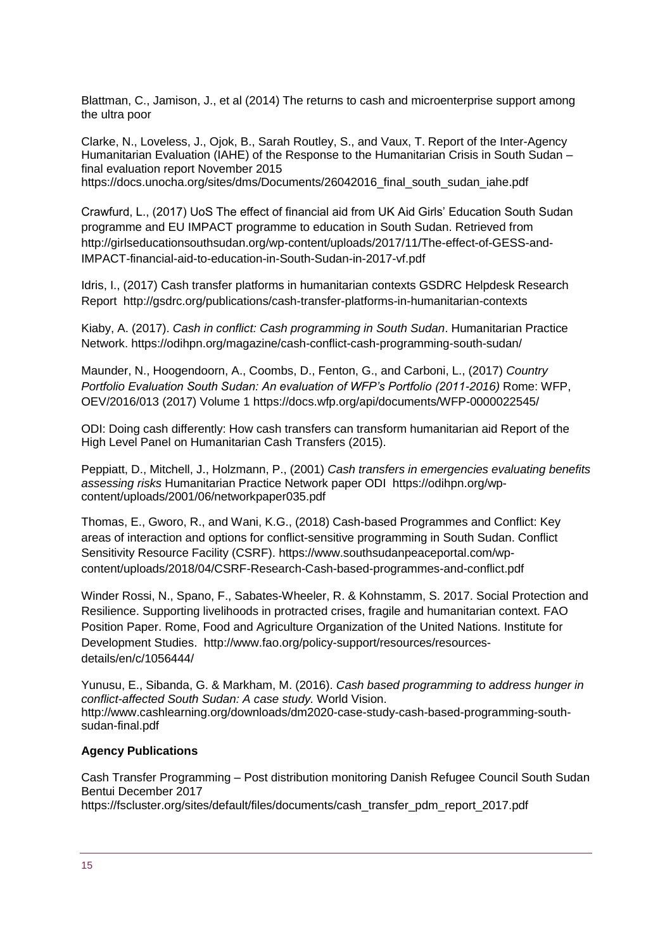Blattman, C., Jamison, J., et al (2014) The returns to cash and microenterprise support among the ultra poor

Clarke, N., Loveless, J., Ojok, B., Sarah Routley, S., and Vaux, T. Report of the Inter-Agency Humanitarian Evaluation (IAHE) of the Response to the Humanitarian Crisis in South Sudan – final evaluation report November 2015 [https://docs.unocha.org/sites/dms/Documents/26042016\\_final\\_south\\_sudan\\_iahe.pdf](https://docs.unocha.org/sites/dms/Documents/26042016_final_south_sudan_iahe.pdf)

Crawfurd, L., (2017) UoS The effect of financial aid from UK Aid Girls' Education South Sudan programme and EU IMPACT programme to education in South Sudan. Retrieved from http://girlseducationsouthsudan.org/wp-content/uploads/2017/11/The-effect-of-GESS-and-IMPACT-financial-aid-to-education-in-South-Sudan-in-2017-vf.pdf

Idris, I., (2017) Cash transfer platforms in humanitarian contexts GSDRC Helpdesk Research Report http://gsdrc.org/publications/cash-transfer-platforms-in-humanitarian-contexts

Kiaby, A. (2017). *Cash in conflict: Cash programming in South Sudan*. Humanitarian Practice Network.<https://odihpn.org/magazine/cash-conflict-cash-programming-south-sudan/>

Maunder, N., Hoogendoorn, A., Coombs, D., Fenton, G., and Carboni, L., (2017) *Country Portfolio Evaluation South Sudan: An evaluation of WFP's Portfolio (2011-2016)* Rome: WFP, OEV/2016/013 (2017) Volume 1<https://docs.wfp.org/api/documents/WFP-0000022545/>

ODI: Doing cash differently: How cash transfers can transform humanitarian aid Report of the High Level Panel on Humanitarian Cash Transfers (2015).

Peppiatt, D., Mitchell, J., Holzmann, P., (2001) *Cash transfers in emergencies evaluating benefits assessing risks* Humanitarian Practice Network paper ODI [https://odihpn.org/wp](https://odihpn.org/wp-content/uploads/2001/06/networkpaper035.pdf)[content/uploads/2001/06/networkpaper035.pdf](https://odihpn.org/wp-content/uploads/2001/06/networkpaper035.pdf)

Thomas, E., Gworo, R., and Wani, K.G., (2018) Cash-based Programmes and Conflict: Key areas of interaction and options for conflict-sensitive programming in South Sudan. Conflict Sensitivity Resource Facility (CSRF). [https://www.southsudanpeaceportal.com/wp](https://www.southsudanpeaceportal.com/wp-content/uploads/2018/04/CSRF-Research-Cash-based-programmes-and-conflict.pdf)[content/uploads/2018/04/CSRF-Research-Cash-based-programmes-and-conflict.pdf](https://www.southsudanpeaceportal.com/wp-content/uploads/2018/04/CSRF-Research-Cash-based-programmes-and-conflict.pdf)

Winder Rossi, N., Spano, F., Sabates-Wheeler, R. & Kohnstamm, S. 2017. Social Protection and Resilience. Supporting livelihoods in protracted crises, fragile and humanitarian context. FAO Position Paper. Rome, Food and Agriculture Organization of the United Nations. Institute for Development Studies. http://www.fao.org/policy-support/resources/resourcesdetails/en/c/1056444/

Yunusu, E., Sibanda, G. & Markham, M. (2016). *Cash based programming to address hunger in conflict-affected South Sudan: A case study.* World Vision. [http://www.cashlearning.org/downloads/dm2020-case-study-cash-based-programming-south](http://www.cashlearning.org/downloads/dm2020-case-study-cash-based-programming-south-sudan-final.pdf)[sudan-final.pdf](http://www.cashlearning.org/downloads/dm2020-case-study-cash-based-programming-south-sudan-final.pdf)

#### **Agency Publications**

Cash Transfer Programming – Post distribution monitoring Danish Refugee Council South Sudan Bentui December 2017 [https://fscluster.org/sites/default/files/documents/cash\\_transfer\\_pdm\\_report\\_2017.pdf](https://fscluster.org/sites/default/files/documents/cash_transfer_pdm_report_2017.pdf)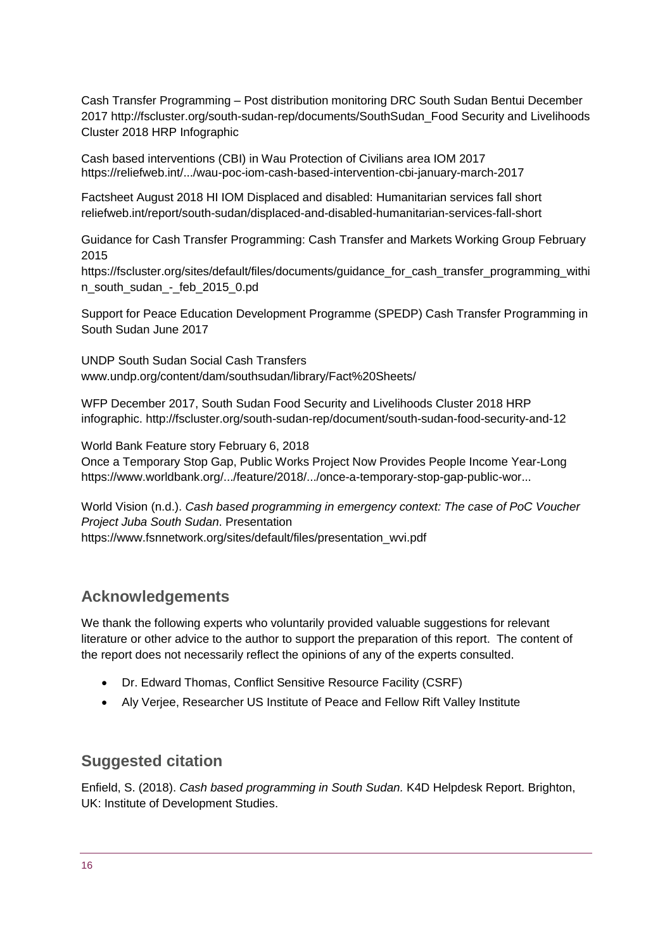Cash Transfer Programming – Post distribution monitoring DRC South Sudan Bentui December 2017 [http://fscluster.org/south-sudan-rep/documents/SouthSudan\\_Food](http://fscluster.org/south-sudan-rep/documents/SouthSudan_Food) Security and Livelihoods Cluster 2018 HRP Infographic

Cash based interventions (CBI) in Wau Protection of Civilians area IOM 2017 <https://reliefweb.int/.../wau-poc-iom-cash-based-intervention-cbi-january-march-2017>

Factsheet August 2018 HI IOM Displaced and disabled: Humanitarian services fall short reliefweb.int/report/south-sudan/displaced-and-disabled-humanitarian-services-fall-short

Guidance for Cash Transfer Programming: Cash Transfer and Markets Working Group February 2015

https://fscluster.org/sites/default/files/documents/quidance\_for\_cash\_transfer\_programming\_withi n\_south\_sudan\_-\_feb\_2015\_0.pd

Support for Peace Education Development Programme (SPEDP) Cash Transfer Programming in South Sudan June 2017

UNDP South Sudan Social Cash Transfers [www.undp.org/content/dam/southsudan/library/Fact%20Sheets/](http://www.undp.org/content/dam/southsudan/library/Fact%20Sheets/)

WFP December 2017, South Sudan Food Security and Livelihoods Cluster 2018 HRP infographic. http://fscluster.org/south-sudan-rep/document/south-sudan-food-security-and-12

World Bank Feature story February 6, 2018

Once a Temporary Stop Gap, Public Works Project Now Provides People Income Year-Long <https://www.worldbank.org/.../feature/2018/.../once-a-temporary-stop-gap-public-wor...>

World Vision (n.d.). *Cash based programming in emergency context: The case of PoC Voucher Project Juba South Sudan*. Presentation [https://www.fsnnetwork.org/sites/default/files/presentation\\_wvi.pdf](https://www.fsnnetwork.org/sites/default/files/presentation_wvi.pdf)

#### **Acknowledgements**

We thank the following experts who voluntarily provided valuable suggestions for relevant literature or other advice to the author to support the preparation of this report. The content of the report does not necessarily reflect the opinions of any of the experts consulted.

- Dr. Edward Thomas, Conflict Sensitive Resource Facility (CSRF)
- Aly Verjee, Researcher US Institute of Peace and Fellow Rift Valley Institute

#### **Suggested citation**

Enfield, S. (2018). *Cash based programming in South Sudan.* K4D Helpdesk Report. Brighton, UK: Institute of Development Studies.